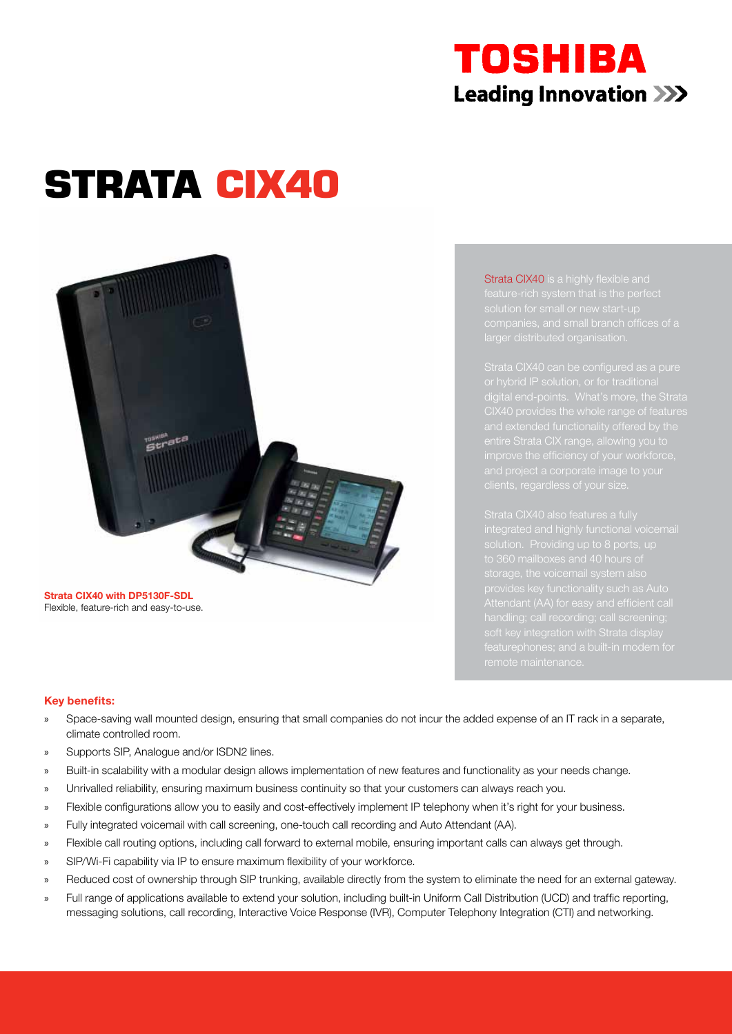## TOSHIBA **Leading Innovation >>>**

# **STRATA CIX40**

**Strata CIX40 with DP5130F-SDL** Flexible, feature-rich and easy-to-use. Strata CIX40 is a highly flexible and

CIX40 provides the whole range of features

handling; call recording; call screening;

#### **Key benefits:**

- » Space-saving wall mounted design, ensuring that small companies do not incur the added expense of an IT rack in a separate, climate controlled room.
- » Supports SIP, Analogue and/or ISDN2 lines.
- » Built-in scalability with a modular design allows implementation of new features and functionality as your needs change.
- » Unrivalled reliability, ensuring maximum business continuity so that your customers can always reach you.
- » Flexible configurations allow you to easily and cost-effectively implement IP telephony when it's right for your business.
- » Fully integrated voicemail with call screening, one-touch call recording and Auto Attendant (AA).
- » Flexible call routing options, including call forward to external mobile, ensuring important calls can always get through.
- » SIP/Wi-Fi capability via IP to ensure maximum flexibility of your workforce.
- » Reduced cost of ownership through SIP trunking, available directly from the system to eliminate the need for an external gateway.
- » Full range of applications available to extend your solution, including built-in Uniform Call Distribution (UCD) and traffic reporting, messaging solutions, call recording, Interactive Voice Response (IVR), Computer Telephony Integration (CTI) and networking.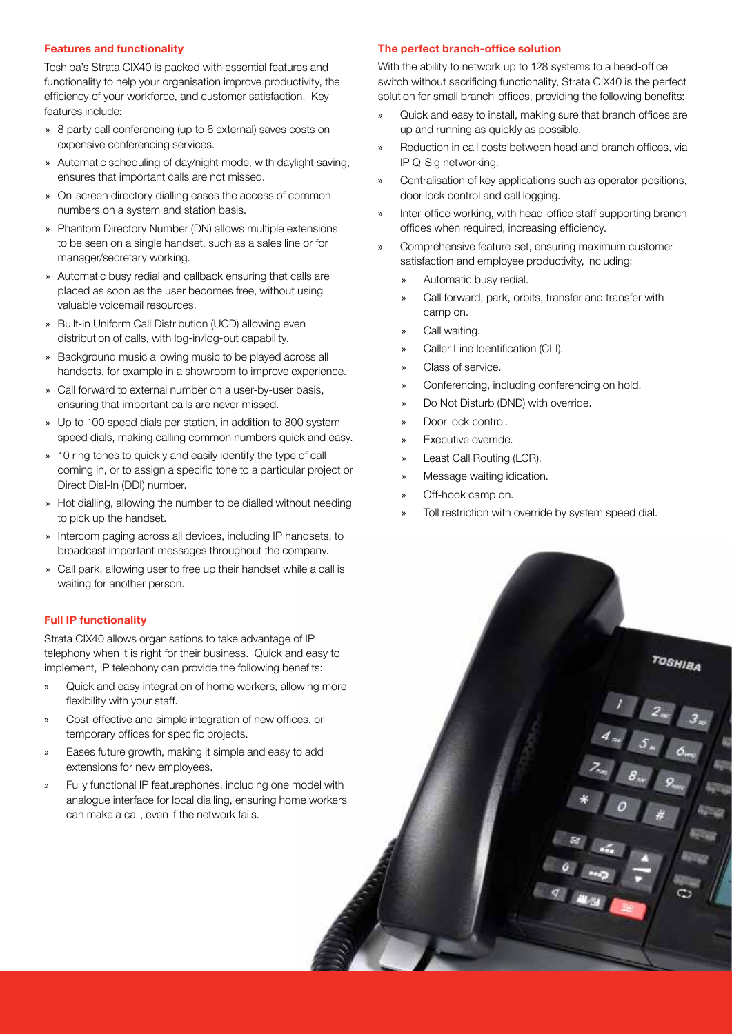#### **Features and functionality**

Toshiba's Strata CIX40 is packed with essential features and functionality to help your organisation improve productivity, the efficiency of your workforce, and customer satisfaction. Key features include:

- » 8 party call conferencing (up to 6 external) saves costs on expensive conferencing services.
- » Automatic scheduling of day/night mode, with daylight saving, ensures that important calls are not missed.
- » On-screen directory dialling eases the access of common numbers on a system and station basis.
- » Phantom Directory Number (DN) allows multiple extensions to be seen on a single handset, such as a sales line or for manager/secretary working.
- » Automatic busy redial and callback ensuring that calls are placed as soon as the user becomes free, without using valuable voicemail resources.
- » Built-in Uniform Call Distribution (UCD) allowing even distribution of calls, with log-in/log-out capability.
- » Background music allowing music to be played across all handsets, for example in a showroom to improve experience.
- » Call forward to external number on a user-by-user basis, ensuring that important calls are never missed.
- » Up to 100 speed dials per station, in addition to 800 system speed dials, making calling common numbers quick and easy.
- » 10 ring tones to quickly and easily identify the type of call coming in, or to assign a specific tone to a particular project or Direct Dial-In (DDI) number.
- » Hot dialling, allowing the number to be dialled without needing to pick up the handset.
- » Intercom paging across all devices, including IP handsets, to broadcast important messages throughout the company.
- » Call park, allowing user to free up their handset while a call is waiting for another person.

#### **Full IP functionality**

Strata CIX40 allows organisations to take advantage of IP telephony when it is right for their business. Quick and easy to implement, IP telephony can provide the following benefits:

- » Quick and easy integration of home workers, allowing more flexibility with your staff.
- » Cost-effective and simple integration of new offices, or temporary offices for specific projects.
- » Eases future growth, making it simple and easy to add extensions for new employees.
- » Fully functional IP featurephones, including one model with analogue interface for local dialling, ensuring home workers can make a call, even if the network fails.

#### **The perfect branch-office solution**

With the ability to network up to 128 systems to a head-office switch without sacrificing functionality, Strata CIX40 is the perfect solution for small branch-offices, providing the following benefits:

- » Quick and easy to install, making sure that branch offices are up and running as quickly as possible.
- Reduction in call costs between head and branch offices, via IP Q-Sig networking.
- » Centralisation of key applications such as operator positions, door lock control and call logging.
- Inter-office working, with head-office staff supporting branch offices when required, increasing efficiency.
- » Comprehensive feature-set, ensuring maximum customer satisfaction and employee productivity, including:
	- » Automatic busy redial.
	- » Call forward, park, orbits, transfer and transfer with camp on.
	- Call waiting.
	- » Caller Line Identification (CLI).
	- » Class of service.
	- Conferencing, including conferencing on hold.
	- Do Not Disturb (DND) with override.
	- » Door lock control.
	- Executive override.
	- Least Call Routing (LCR).
	- » Message waiting idication.
	- » Off-hook camp on.
	- Toll restriction with override by system speed dial.

TOSHIBA

 $\begin{array}{|c|c|} \hline 4 & 2_{ac} & 3_{ac} \\ \hline 4 & 5_{ac} & 6_{ac} \\ \hline \end{array}$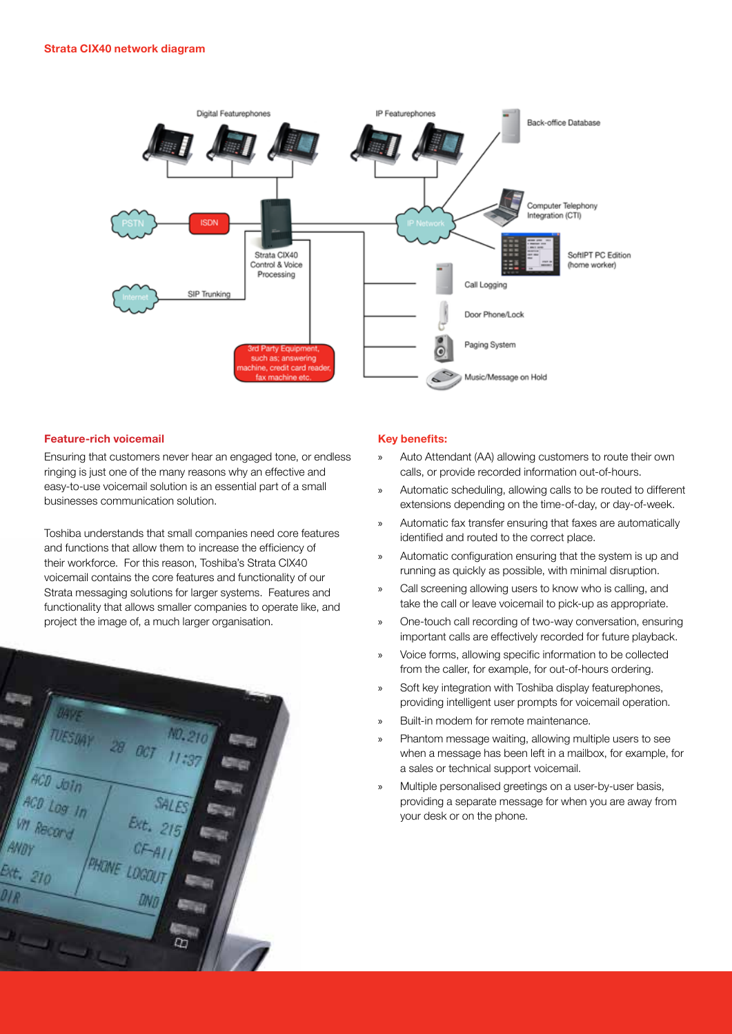

#### **Feature-rich voicemail**

Ensuring that customers never hear an engaged tone, or endless ringing is just one of the many reasons why an effective and easy-to-use voicemail solution is an essential part of a small businesses communication solution.

Toshiba understands that small companies need core features and functions that allow them to increase the efficiency of their workforce. For this reason, Toshiba's Strata CIX40 voicemail contains the core features and functionality of our Strata messaging solutions for larger systems. Features and functionality that allows smaller companies to operate like, and project the image of, a much larger organisation.



#### **Key benefits:**

- Auto Attendant (AA) allowing customers to route their own calls, or provide recorded information out-of-hours.
- » Automatic scheduling, allowing calls to be routed to different extensions depending on the time-of-day, or day-of-week.
- » Automatic fax transfer ensuring that faxes are automatically identified and routed to the correct place.
- » Automatic configuration ensuring that the system is up and running as quickly as possible, with minimal disruption.
- Call screening allowing users to know who is calling, and take the call or leave voicemail to pick-up as appropriate.
- » One-touch call recording of two-way conversation, ensuring important calls are effectively recorded for future playback.
- » Voice forms, allowing specific information to be collected from the caller, for example, for out-of-hours ordering.
- » Soft key integration with Toshiba display featurephones, providing intelligent user prompts for voicemail operation.
- » Built-in modem for remote maintenance.
- » Phantom message waiting, allowing multiple users to see when a message has been left in a mailbox, for example, for a sales or technical support voicemail.
- » Multiple personalised greetings on a user-by-user basis, providing a separate message for when you are away from your desk or on the phone.